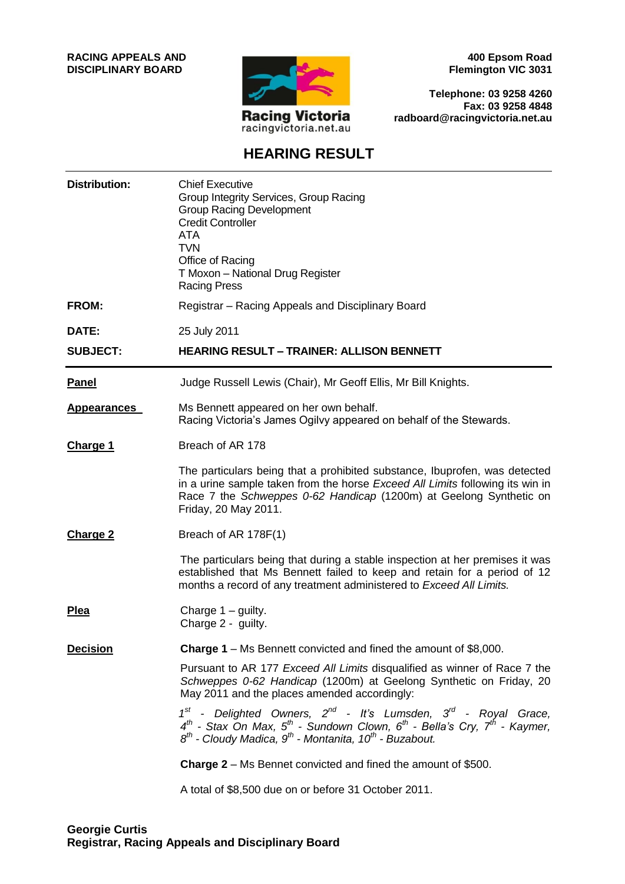**RACING APPEALS AND DISCIPLINARY BOARD**



**400 Epsom Road Flemington VIC 3031**

**Telephone: 03 9258 4260 Fax: 03 9258 4848 radboard@racingvictoria.net.au**

### **HEARING RESULT**

| <b>Distribution:</b> | <b>Chief Executive</b><br>Group Integrity Services, Group Racing<br><b>Group Racing Development</b><br><b>Credit Controller</b><br><b>ATA</b><br><b>TVN</b><br>Office of Racing<br>T Moxon - National Drug Register<br><b>Racing Press</b>                    |
|----------------------|---------------------------------------------------------------------------------------------------------------------------------------------------------------------------------------------------------------------------------------------------------------|
| FROM:                | Registrar - Racing Appeals and Disciplinary Board                                                                                                                                                                                                             |
| DATE:                | 25 July 2011                                                                                                                                                                                                                                                  |
| <b>SUBJECT:</b>      | <b>HEARING RESULT - TRAINER: ALLISON BENNETT</b>                                                                                                                                                                                                              |
| <b>Panel</b>         | Judge Russell Lewis (Chair), Mr Geoff Ellis, Mr Bill Knights.                                                                                                                                                                                                 |
| <b>Appearances</b>   | Ms Bennett appeared on her own behalf.<br>Racing Victoria's James Ogilvy appeared on behalf of the Stewards.                                                                                                                                                  |
| Charge 1             | Breach of AR 178                                                                                                                                                                                                                                              |
|                      | The particulars being that a prohibited substance, Ibuprofen, was detected<br>in a urine sample taken from the horse Exceed All Limits following its win in<br>Race 7 the Schweppes 0-62 Handicap (1200m) at Geelong Synthetic on<br>Friday, 20 May 2011.     |
| <b>Charge 2</b>      | Breach of AR 178F(1)                                                                                                                                                                                                                                          |
|                      | The particulars being that during a stable inspection at her premises it was<br>established that Ms Bennett failed to keep and retain for a period of 12<br>months a record of any treatment administered to Exceed All Limits.                               |
| <b>Plea</b>          | Charge $1 -$ guilty.<br>Charge 2 - guilty.                                                                                                                                                                                                                    |
| <b>Decision</b>      | Charge 1 - Ms Bennett convicted and fined the amount of \$8,000.                                                                                                                                                                                              |
|                      | Pursuant to AR 177 Exceed All Limits disqualified as winner of Race 7 the<br>Schweppes 0-62 Handicap (1200m) at Geelong Synthetic on Friday, 20<br>May 2011 and the places amended accordingly:                                                               |
|                      | $1^{st}$ - Delighted Owners, $2^{nd}$ - It's Lumsden, $3^{rd}$ - Royal Grace,<br>$4^{th}$ - Stax On Max, $5^{th}$ - Sundown Clown, $6^{th}$ - Bella's Cry, $7^{th}$ - Kaymer,<br>$8^{th}$ - Cloudy Madica, $9^{th}$ - Montanita, 10 <sup>th</sup> - Buzabout. |
|                      | <b>Charge 2</b> – Ms Bennet convicted and fined the amount of \$500.                                                                                                                                                                                          |
|                      | A total of \$8,500 due on or before 31 October 2011.                                                                                                                                                                                                          |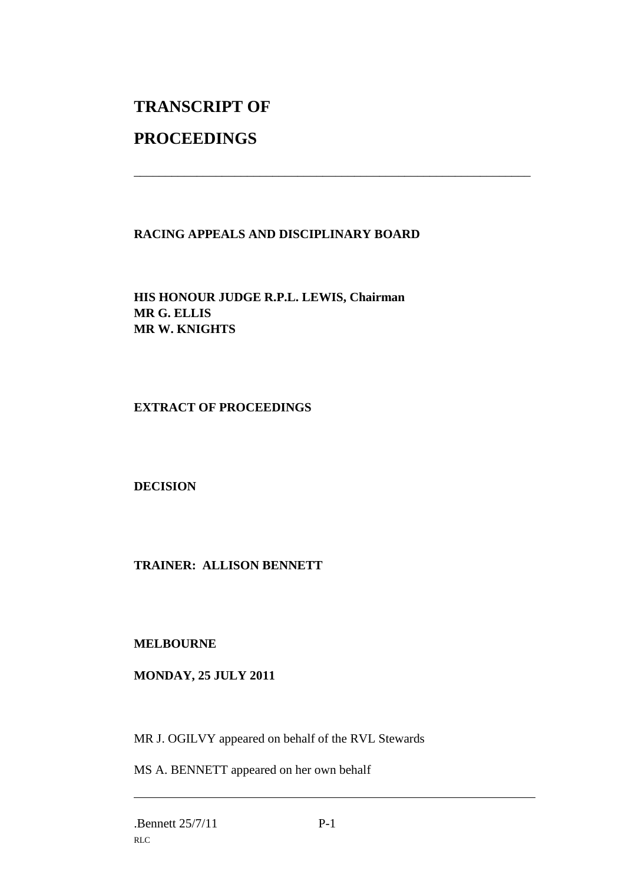# **TRANSCRIPT OF**

## **PROCEEDINGS**

#### **RACING APPEALS AND DISCIPLINARY BOARD**

\_\_\_\_\_\_\_\_\_\_\_\_\_\_\_\_\_\_\_\_\_\_\_\_\_\_\_\_\_\_\_\_\_\_\_\_\_\_\_\_\_\_\_\_\_\_\_\_\_\_\_\_\_\_\_\_\_\_\_\_\_\_\_

**HIS HONOUR JUDGE R.P.L. LEWIS, Chairman MR G. ELLIS MR W. KNIGHTS**

#### **EXTRACT OF PROCEEDINGS**

**DECISION**

#### **TRAINER: ALLISON BENNETT**

#### **MELBOURNE**

#### **MONDAY, 25 JULY 2011**

MR J. OGILVY appeared on behalf of the RVL Stewards

MS A. BENNETT appeared on her own behalf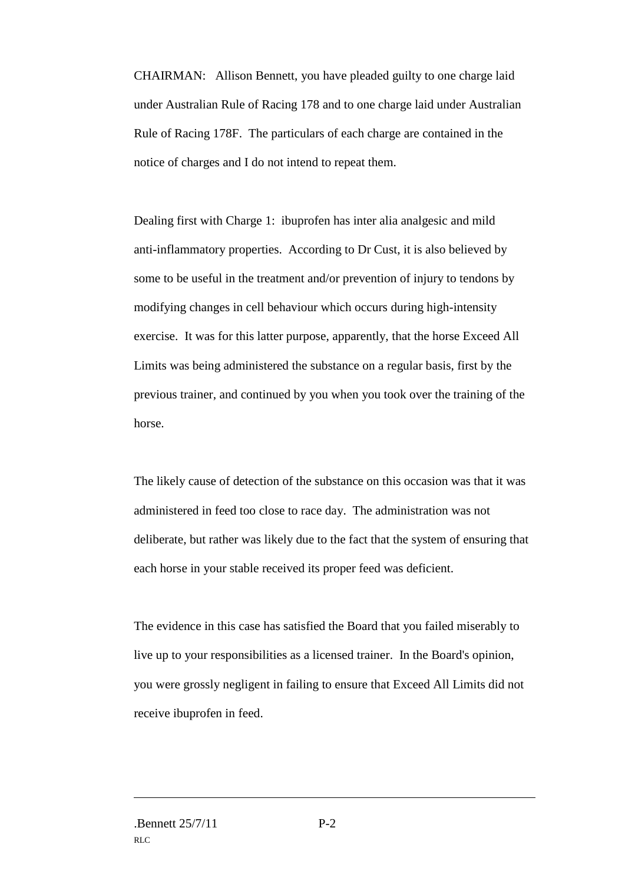CHAIRMAN: Allison Bennett, you have pleaded guilty to one charge laid under Australian Rule of Racing 178 and to one charge laid under Australian Rule of Racing 178F. The particulars of each charge are contained in the notice of charges and I do not intend to repeat them.

Dealing first with Charge 1: ibuprofen has inter alia analgesic and mild anti-inflammatory properties. According to Dr Cust, it is also believed by some to be useful in the treatment and/or prevention of injury to tendons by modifying changes in cell behaviour which occurs during high-intensity exercise. It was for this latter purpose, apparently, that the horse Exceed All Limits was being administered the substance on a regular basis, first by the previous trainer, and continued by you when you took over the training of the horse.

The likely cause of detection of the substance on this occasion was that it was administered in feed too close to race day. The administration was not deliberate, but rather was likely due to the fact that the system of ensuring that each horse in your stable received its proper feed was deficient.

The evidence in this case has satisfied the Board that you failed miserably to live up to your responsibilities as a licensed trainer. In the Board's opinion, you were grossly negligent in failing to ensure that Exceed All Limits did not receive ibuprofen in feed.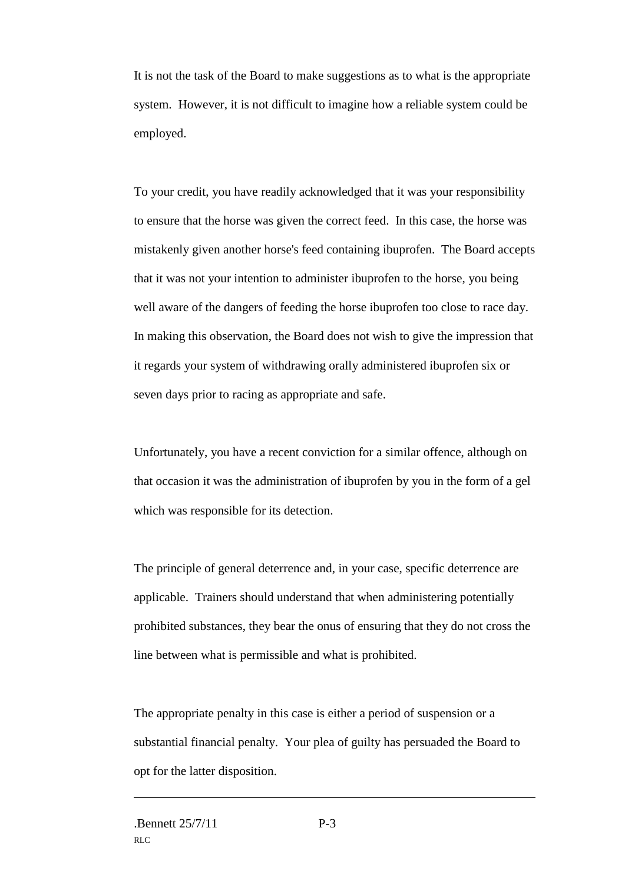It is not the task of the Board to make suggestions as to what is the appropriate system. However, it is not difficult to imagine how a reliable system could be employed.

To your credit, you have readily acknowledged that it was your responsibility to ensure that the horse was given the correct feed. In this case, the horse was mistakenly given another horse's feed containing ibuprofen. The Board accepts that it was not your intention to administer ibuprofen to the horse, you being well aware of the dangers of feeding the horse ibuprofen too close to race day. In making this observation, the Board does not wish to give the impression that it regards your system of withdrawing orally administered ibuprofen six or seven days prior to racing as appropriate and safe.

Unfortunately, you have a recent conviction for a similar offence, although on that occasion it was the administration of ibuprofen by you in the form of a gel which was responsible for its detection.

The principle of general deterrence and, in your case, specific deterrence are applicable. Trainers should understand that when administering potentially prohibited substances, they bear the onus of ensuring that they do not cross the line between what is permissible and what is prohibited.

The appropriate penalty in this case is either a period of suspension or a substantial financial penalty. Your plea of guilty has persuaded the Board to opt for the latter disposition.